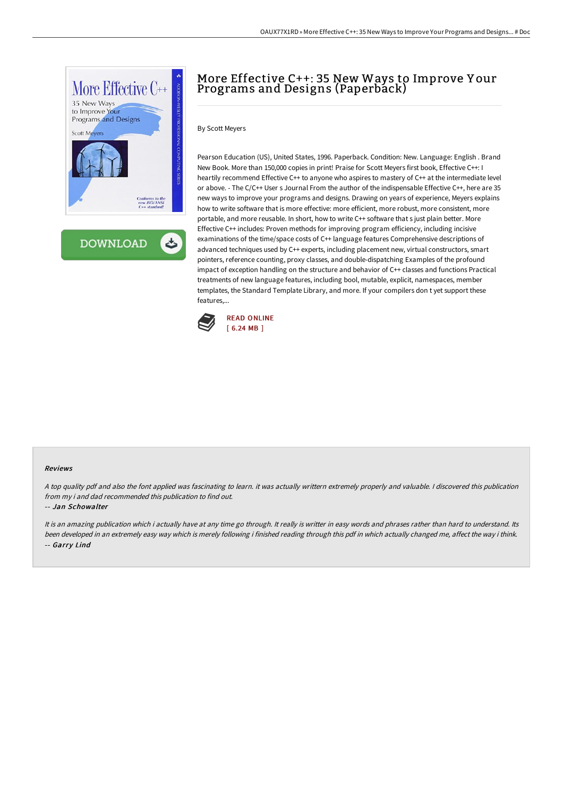

**DOWNLOAD** ٹ

# More Effective C++: 35 New Ways to Improve Y our Programs and Designs (Paperback)

## By Scott Meyers

Pearson Education (US), United States, 1996. Paperback. Condition: New. Language: English . Brand New Book. More than 150,000 copies in print! Praise for Scott Meyers first book, Effective C++: I heartily recommend Effective C++ to anyone who aspires to mastery of C++ at the intermediate level or above. - The C/C++ User s Journal From the author of the indispensable Effective C++, here are 35 new ways to improve your programs and designs. Drawing on years of experience, Meyers explains how to write software that is more effective: more efficient, more robust, more consistent, more portable, and more reusable. In short, how to write C++ software that s just plain better. More Effective C++ includes: Proven methods for improving program efficiency, including incisive examinations of the time/space costs of C++ language features Comprehensive descriptions of advanced techniques used by C++ experts, including placement new, virtual constructors, smart pointers, reference counting, proxy classes, and double-dispatching Examples of the profound impact of exception handling on the structure and behavior of C++ classes and functions Practical treatments of new language features, including bool, mutable, explicit, namespaces, member templates, the Standard Template Library, and more. If your compilers don t yet support these features,...



#### Reviews

<sup>A</sup> top quality pdf and also the font applied was fascinating to learn. it was actually writtern extremely properly and valuable. <sup>I</sup> discovered this publication from my i and dad recommended this publication to find out.

#### -- Jan Schowalter

It is an amazing publication which i actually have at any time go through. It really is writter in easy words and phrases rather than hard to understand. Its been developed in an extremely easy way which is merely following i finished reading through this pdf in which actually changed me, affect the way i think. -- Garry Lind